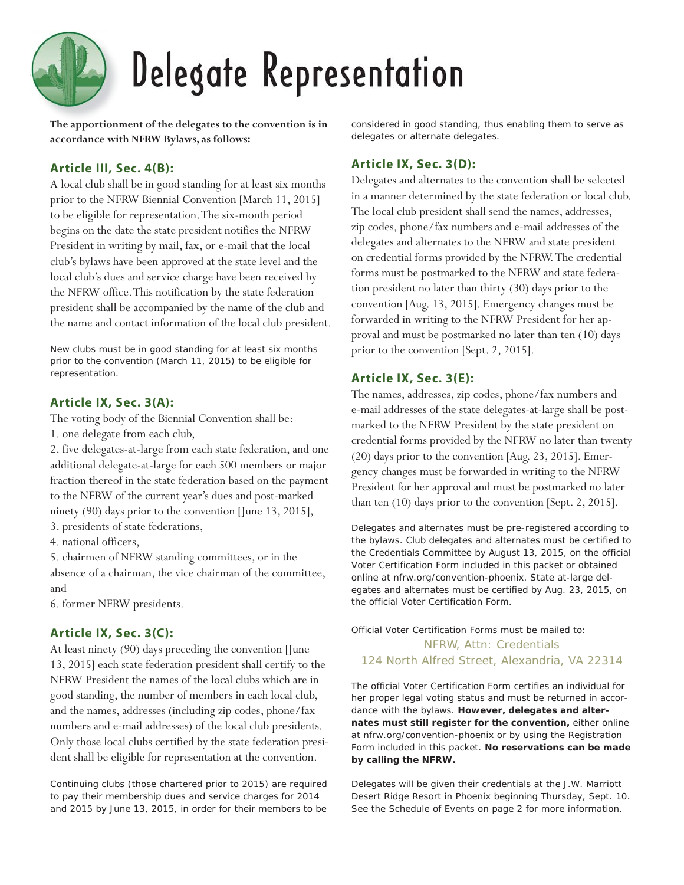# Delegate Representation

**The apportionment of the delegates to the convention is in accordance with NFRW Bylaws, as follows:**

# **Article III, Sec. 4(B):**

A local club shall be in good standing for at least six months prior to the NFRW Biennial Convention [March 11, 2015] to be eligible for representation. The six-month period begins on the date the state president notifies the NFRW President in writing by mail, fax, or e-mail that the local club's bylaws have been approved at the state level and the local club's dues and service charge have been received by the NFRW office. This notification by the state federation president shall be accompanied by the name of the club and the name and contact information of the local club president.

*New clubs must be in good standing for at least six months prior to the convention (March 11, 2015) to be eligible for representation.*

## **Article IX, Sec. 3(A):**

The voting body of the Biennial Convention shall be: 1. one delegate from each club,

2. five delegates-at-large from each state federation, and one additional delegate-at-large for each 500 members or major fraction thereof in the state federation based on the payment to the NFRW of the current year's dues and post-marked ninety (90) days prior to the convention [June 13, 2015],

3. presidents of state federations,

4. national officers,

5. chairmen of NFRW standing committees, or in the absence of a chairman, the vice chairman of the committee, and

6. former NFRW presidents.

# **Article IX, Sec. 3(C):**

At least ninety (90) days preceding the convention [June 13, 2015] each state federation president shall certify to the NFRW President the names of the local clubs which are in good standing, the number of members in each local club, and the names, addresses (including zip codes, phone/fax numbers and e-mail addresses) of the local club presidents. Only those local clubs certified by the state federation president shall be eligible for representation at the convention.

*Continuing clubs (those chartered prior to 2015) are required to pay their membership dues and service charges for 2014 and 2015 by June 13, 2015, in order for their members to be* 

*considered in good standing, thus enabling them to serve as delegates or alternate delegates.*

# **Article IX, Sec. 3(D):**

Delegates and alternates to the convention shall be selected in a manner determined by the state federation or local club. The local club president shall send the names, addresses, zip codes, phone/fax numbers and e-mail addresses of the delegates and alternates to the NFRW and state president on credential forms provided by the NFRW. The credential forms must be postmarked to the NFRW and state federation president no later than thirty (30) days prior to the convention [Aug. 13, 2015]. Emergency changes must be forwarded in writing to the NFRW President for her approval and must be postmarked no later than ten (10) days prior to the convention [Sept. 2, 2015].

## **Article IX, Sec. 3(E):**

The names, addresses, zip codes, phone/fax numbers and e-mail addresses of the state delegates-at-large shall be postmarked to the NFRW President by the state president on credential forms provided by the NFRW no later than twenty (20) days prior to the convention [Aug. 23, 2015]. Emergency changes must be forwarded in writing to the NFRW President for her approval and must be postmarked no later than ten (10) days prior to the convention [Sept. 2, 2015].

*Delegates and alternates must be pre-registered according to the bylaws. Club delegates and alternates must be certified to the Credentials Committee by August 13, 2015, on the official Voter Certification Form included in this packet or obtained online at nfrw.org/convention-phoenix. State at-large delegates and alternates must be certified by Aug. 23, 2015, on the official Voter Certification Form.*

# *Official Voter Certification Forms must be mailed to:* NFRW, Attn: Credentials 124 North Alfred Street, Alexandria, VA 22314

*The official Voter Certification Form certifies an individual for her proper legal voting status and must be returned in accordance with the bylaws. However, delegates and alternates must still register for the convention, either online at nfrw.org/convention-phoenix or by using the Registration Form included in this packet. No reservations can be made by calling the NFRW.* 

*Delegates will be given their credentials at the J.W. Marriott Desert Ridge Resort in Phoenix beginning Thursday, Sept. 10. See the Schedule of Events on page 2 for more information.*